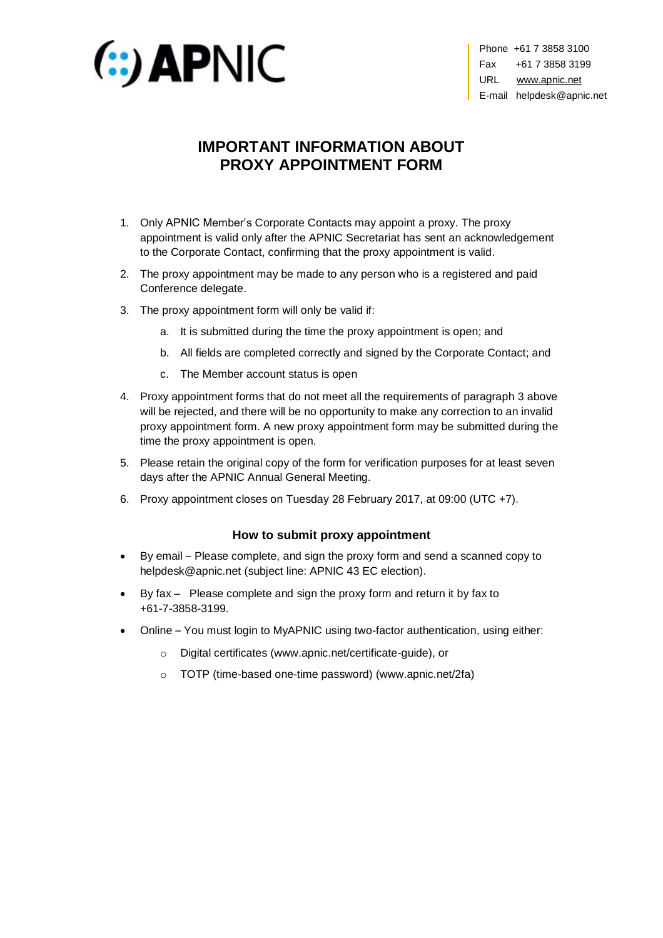

Phone +61 7 3858 3100 Fax +61 7 3858 3199 URL [www.apnic.net](http://www.apnic.net/) E-mail helpdesk@apnic.net

## **IMPORTANT INFORMATION ABOUT PROXY APPOINTMENT FORM**

- 1. Only APNIC Member's Corporate Contacts may appoint a proxy. The proxy appointment is valid only after the APNIC Secretariat has sent an acknowledgement to the Corporate Contact, confirming that the proxy appointment is valid.
- 2. The proxy appointment may be made to any person who is a registered and paid Conference delegate.
- <span id="page-0-1"></span><span id="page-0-0"></span>3. The proxy appointment form will only be valid if:
	- a. It is submitted during the time the proxy appointment is open; and
	- b. All fields are completed correctly and signed by the Corporate Contact; and
	- c. The Member account status is open
- 4. Proxy appointment forms that do not meet all the requirements of paragraph [3 above](#page-0-0) will be rejected, and there will be no opportunity to make any correction to an invalid proxy appointment form. A new proxy appointment form may be submitted during the time the proxy appointment is open.
- 5. Please retain the original copy of the form for verification purposes for at least seven days after the APNIC Annual General Meeting.
- 6. Proxy appointment closes on Tuesday 28 February 2017, at 09:00 (UTC +7).

## **How to submit proxy appointment**

- By email Please complete, and sign the proxy form and send a scanned copy to helpdesk@apnic.net (subject line: APNIC 43 EC election).
- By fax Please complete and sign the proxy form and return it by fax to +61-7-3858-3199.
- Online You must login to MyAPNIC using two-factor authentication, using either:
	- o Digital certificates [\(www.apnic.net/certificate-guide\)](http://www.apnic.net/certificate-guide), or
	- o TOTP (time-based one-time password) [\(www.apnic.net/2fa\)](http://www.apnic.net/2fa)